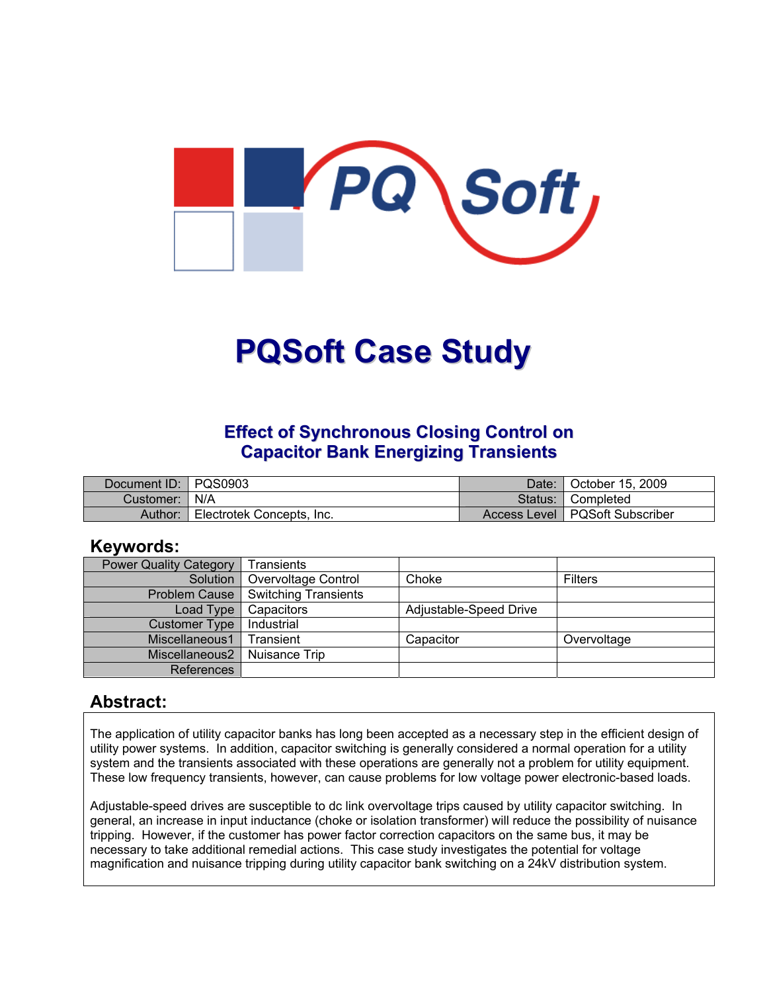

# **PQSoft Case Study**

#### **Effect of Synchronous Closing Control on Capacitor Bank Energizing Transients**

| Document ID: PQS0903 |                           | Date:   | October 15, 2009                 |
|----------------------|---------------------------|---------|----------------------------------|
| Customer:   N/A      |                           | Status: | <sup>1</sup> Completed           |
| Author:              | Electrotek Concepts, Inc. |         | Access Level   PQSoft Subscriber |

#### **Keywords:**

| <b>Power Quality Category</b> | Transients           |                        |                |
|-------------------------------|----------------------|------------------------|----------------|
| Solution                      | Overvoltage Control  | Choke                  | <b>Filters</b> |
| <b>Problem Cause</b>          | Switching Transients |                        |                |
| Load Type                     | Capacitors           | Adjustable-Speed Drive |                |
| <b>Customer Type</b>          | Industrial           |                        |                |
| Miscellaneous1                | Transient            | Capacitor              | Overvoltage    |
| Miscellaneous2                | Nuisance Trip        |                        |                |
| References                    |                      |                        |                |

#### **Abstract:**

The application of utility capacitor banks has long been accepted as a necessary step in the efficient design of utility power systems. In addition, capacitor switching is generally considered a normal operation for a utility system and the transients associated with these operations are generally not a problem for utility equipment. These low frequency transients, however, can cause problems for low voltage power electronic-based loads.

Adjustable-speed drives are susceptible to dc link overvoltage trips caused by utility capacitor switching. In general, an increase in input inductance (choke or isolation transformer) will reduce the possibility of nuisance tripping. However, if the customer has power factor correction capacitors on the same bus, it may be necessary to take additional remedial actions. This case study investigates the potential for voltage magnification and nuisance tripping during utility capacitor bank switching on a 24kV distribution system.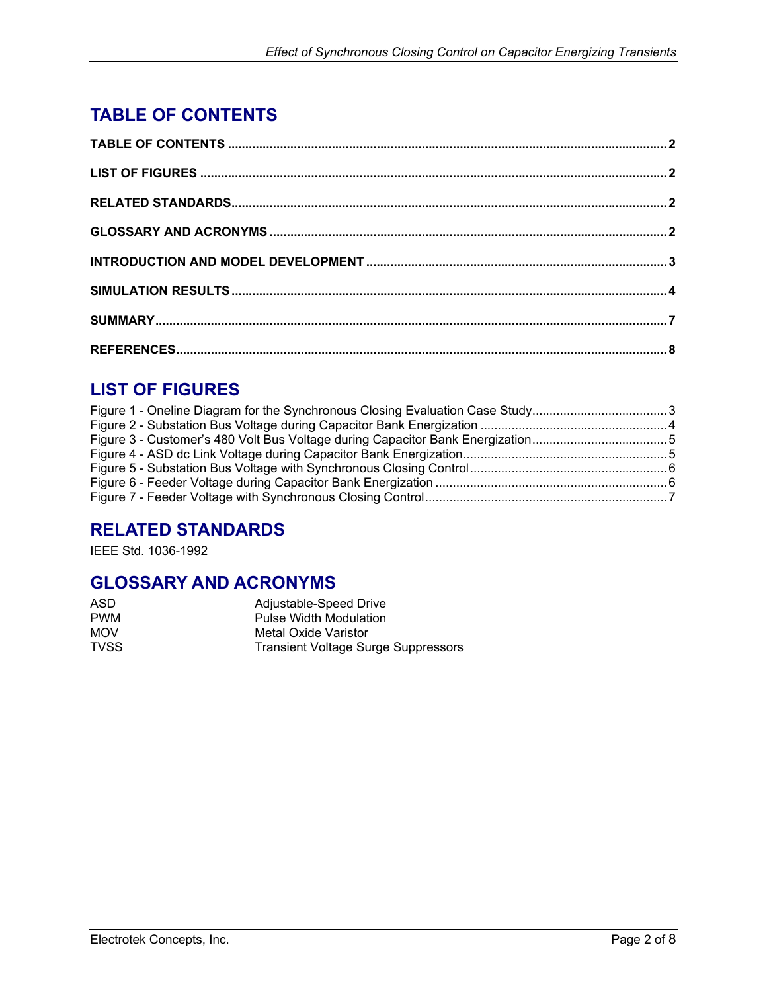## <span id="page-1-0"></span>**TABLE OF CONTENTS**

## **LIST OF FIGURES**

| Figure 3 - Customer's 480 Volt Bus Voltage during Capacitor Bank Energization5 |  |
|--------------------------------------------------------------------------------|--|
|                                                                                |  |
|                                                                                |  |
|                                                                                |  |
|                                                                                |  |
|                                                                                |  |

#### **RELATED STANDARDS**

IEEE Std. 1036-1992

#### **GLOSSARY AND ACRONYMS**

| ASD         | Adjustable-Speed Drive                     |
|-------------|--------------------------------------------|
| <b>PWM</b>  | <b>Pulse Width Modulation</b>              |
| <b>MOV</b>  | Metal Oxide Varistor                       |
| <b>TVSS</b> | <b>Transient Voltage Surge Suppressors</b> |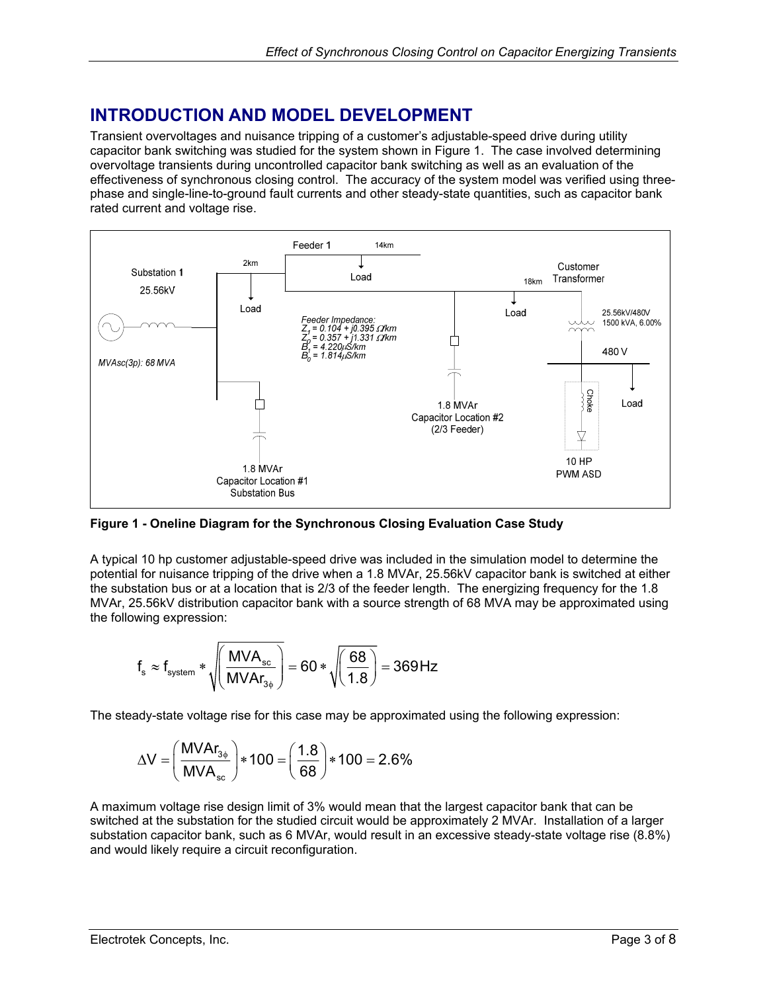## <span id="page-2-0"></span>**INTRODUCTION AND MODEL DEVELOPMENT**

Transient overvoltages and nuisance tripping of a customer's adjustable-speed drive during utility capacitor bank switching was studied for the system shown in [Figure 1.](#page-2-1) The case involved determining overvoltage transients during uncontrolled capacitor bank switching as well as an evaluation of the effectiveness of synchronous closing control. The accuracy of the system model was verified using threephase and single-line-to-ground fault currents and other steady-state quantities, such as capacitor bank rated current and voltage rise.

<span id="page-2-1"></span>

**Figure 1 - Oneline Diagram for the Synchronous Closing Evaluation Case Study**

A typical 10 hp customer adjustable-speed drive was included in the simulation model to determine the potential for nuisance tripping of the drive when a 1.8 MVAr, 25.56kV capacitor bank is switched at either the substation bus or at a location that is 2/3 of the feeder length. The energizing frequency for the 1.8 MVAr, 25.56kV distribution capacitor bank with a source strength of 68 MVA may be approximated using the following expression:

$$
f_s \approx f_{\text{system}} * \sqrt{\left(\frac{\text{MVA}_{\text{sc}}}{\text{MVA}r_{3\phi}}\right)} = 60 * \sqrt{\left(\frac{68}{1.8}\right)} = 369 \, \text{Hz}
$$

The steady-state voltage rise for this case may be approximated using the following expression:

$$
\Delta V = \left(\frac{M V A r_{3\phi}}{M V A_{sc}}\right) * 100 = \left(\frac{1.8}{68}\right) * 100 = 2.6\%
$$

A maximum voltage rise design limit of 3% would mean that the largest capacitor bank that can be switched at the substation for the studied circuit would be approximately 2 MVAr. Installation of a larger substation capacitor bank, such as 6 MVAr, would result in an excessive steady-state voltage rise (8.8%) and would likely require a circuit reconfiguration.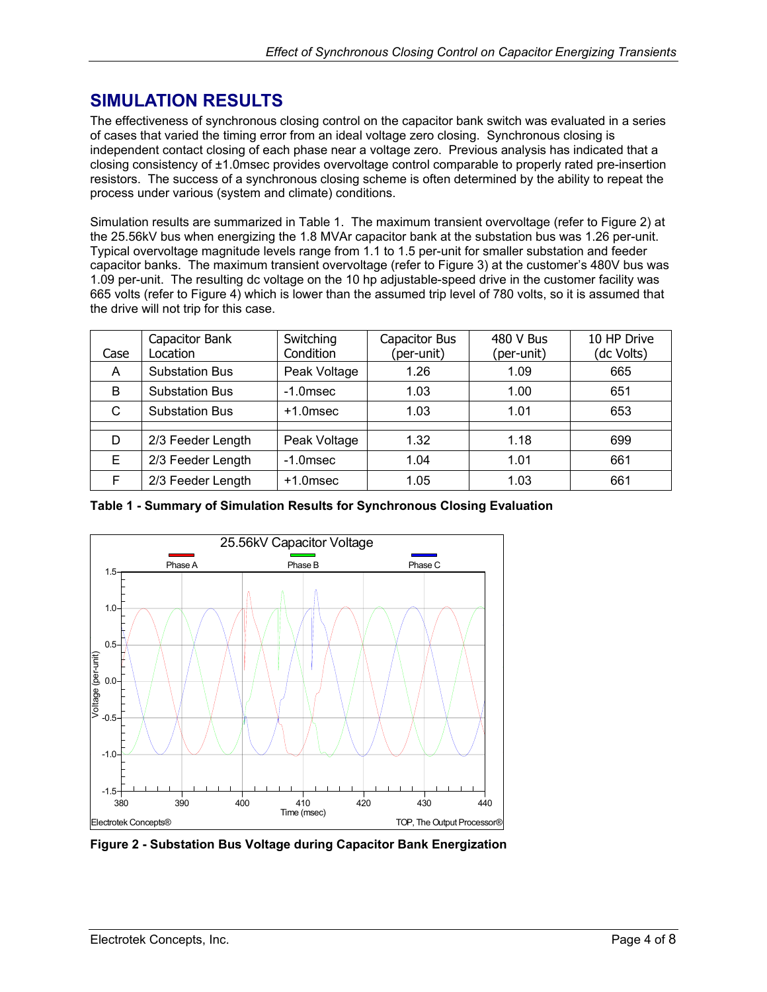#### <span id="page-3-0"></span>**SIMULATION RESULTS**

The effectiveness of synchronous closing control on the capacitor bank switch was evaluated in a series of cases that varied the timing error from an ideal voltage zero closing. Synchronous closing is independent contact closing of each phase near a voltage zero. Previous analysis has indicated that a closing consistency of ±1.0msec provides overvoltage control comparable to properly rated pre-insertion resistors. The success of a synchronous closing scheme is often determined by the ability to repeat the process under various (system and climate) conditions.

Simulation results are summarized in [Table 1.](#page-3-1) The maximum transient overvoltage (refer to [Figure 2\)](#page-3-2) at the 25.56kV bus when energizing the 1.8 MVAr capacitor bank at the substation bus was 1.26 per-unit. Typical overvoltage magnitude levels range from 1.1 to 1.5 per-unit for smaller substation and feeder capacitor banks. The maximum transient overvoltage (refer to [Figure 3\)](#page-4-1) at the customer's 480V bus was 1.09 per-unit. The resulting dc voltage on the 10 hp adjustable-speed drive in the customer facility was 665 volts (refer to [Figure 4\)](#page-4-2) which is lower than the assumed trip level of 780 volts, so it is assumed that the drive will not trip for this case.

| Case | Capacitor Bank<br>Location | Switching<br>Condition | Capacitor Bus<br>(per-unit) | 480 V Bus<br>(per-unit) | 10 HP Drive<br>(dc Volts) |
|------|----------------------------|------------------------|-----------------------------|-------------------------|---------------------------|
| A    | <b>Substation Bus</b>      | Peak Voltage           | 1.26                        | 1.09                    | 665                       |
| B    | <b>Substation Bus</b>      | $-1.0$ msec            | 1.03                        | 1.00                    | 651                       |
| C    | <b>Substation Bus</b>      | $+1.0$ msec            | 1.03                        | 1.01                    | 653                       |
|      |                            |                        |                             |                         |                           |
| D    | 2/3 Feeder Length          | Peak Voltage           | 1.32                        | 1.18                    | 699                       |
| Е    | 2/3 Feeder Length          | $-1.0$ msec            | 1.04                        | 1.01                    | 661                       |
| F    | 2/3 Feeder Length          | $+1.0$ msec            | 1.05                        | 1.03                    | 661                       |

<span id="page-3-1"></span>**Table 1 - Summary of Simulation Results for Synchronous Closing Evaluation** 

<span id="page-3-2"></span>

**Figure 2 - Substation Bus Voltage during Capacitor Bank Energization**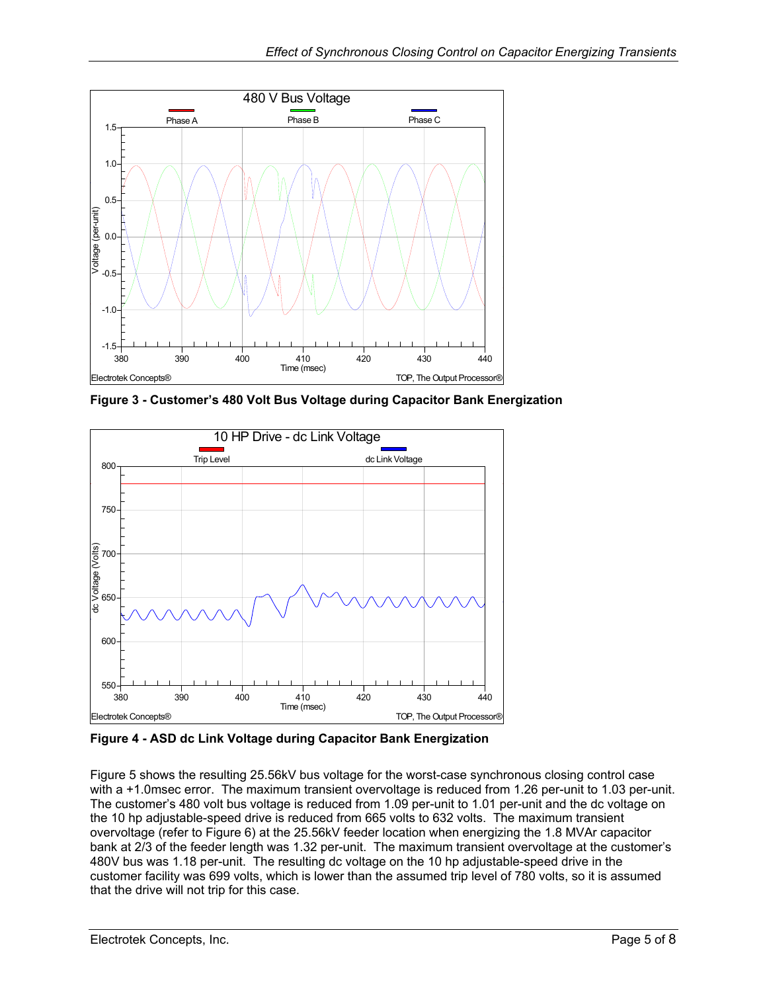<span id="page-4-1"></span><span id="page-4-0"></span>

**Figure 3 - Customer's 480 Volt Bus Voltage during Capacitor Bank Energization** 

<span id="page-4-2"></span>

**Figure 4 - ASD dc Link Voltage during Capacitor Bank Energization**

[Figure 5](#page-5-1) shows the resulting 25.56kV bus voltage for the worst-case synchronous closing control case with a +1.0msec error. The maximum transient overvoltage is reduced from 1.26 per-unit to 1.03 per-unit. The customer's 480 volt bus voltage is reduced from 1.09 per-unit to 1.01 per-unit and the dc voltage on the 10 hp adjustable-speed drive is reduced from 665 volts to 632 volts. The maximum transient overvoltage (refer to [Figure 6\)](#page-5-2) at the 25.56kV feeder location when energizing the 1.8 MVAr capacitor bank at 2/3 of the feeder length was 1.32 per-unit. The maximum transient overvoltage at the customer's 480V bus was 1.18 per-unit. The resulting dc voltage on the 10 hp adjustable-speed drive in the customer facility was 699 volts, which is lower than the assumed trip level of 780 volts, so it is assumed that the drive will not trip for this case.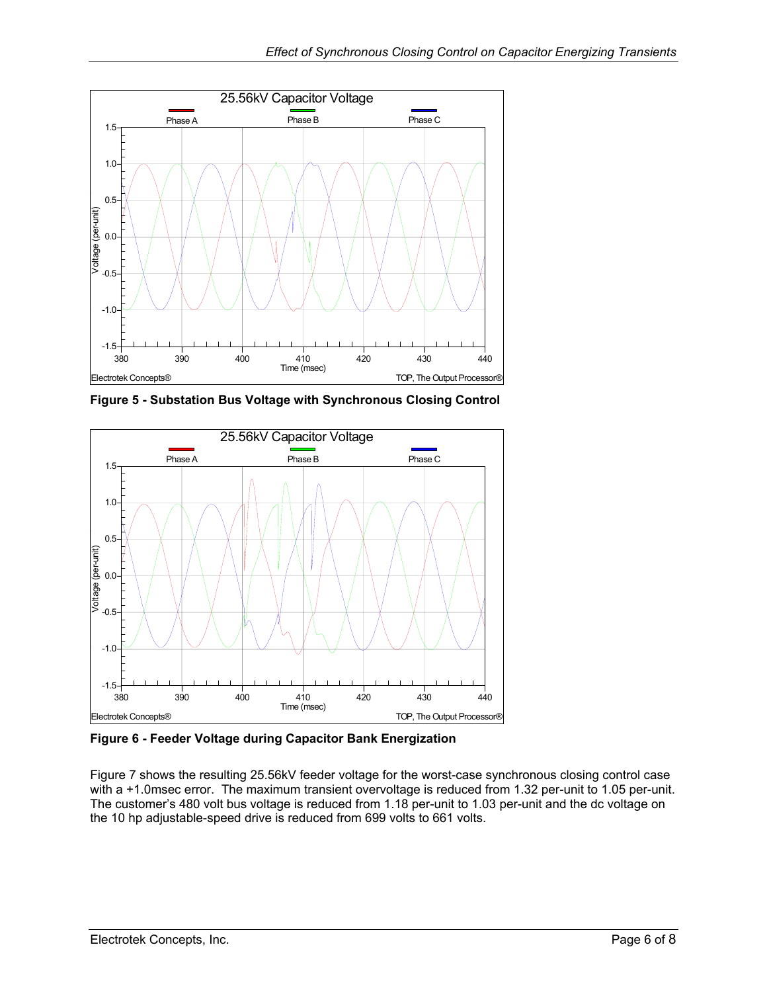<span id="page-5-1"></span><span id="page-5-0"></span>

**Figure 5 - Substation Bus Voltage with Synchronous Closing Control** 

<span id="page-5-2"></span>

**Figure 6 - Feeder Voltage during Capacitor Bank Energization** 

[Figure 7](#page-6-1) shows the resulting 25.56kV feeder voltage for the worst-case synchronous closing control case with a +1.0msec error. The maximum transient overvoltage is reduced from 1.32 per-unit to 1.05 per-unit. The customer's 480 volt bus voltage is reduced from 1.18 per-unit to 1.03 per-unit and the dc voltage on the 10 hp adjustable-speed drive is reduced from 699 volts to 661 volts.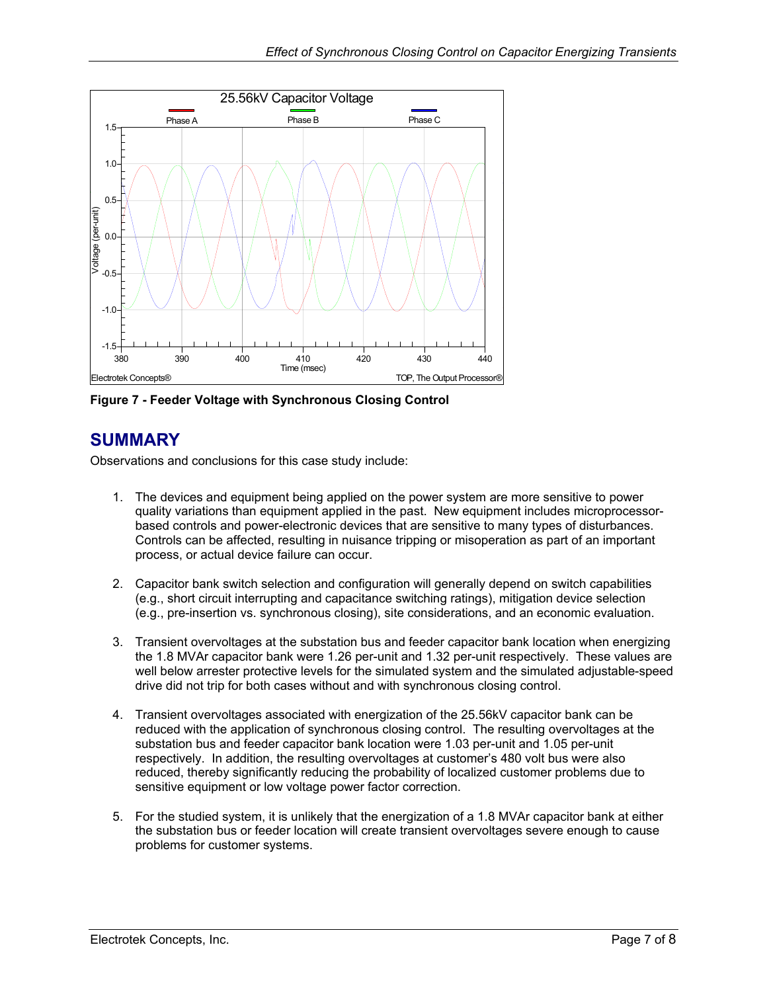<span id="page-6-1"></span><span id="page-6-0"></span>

**Figure 7 - Feeder Voltage with Synchronous Closing Control** 

#### **SUMMARY**

Observations and conclusions for this case study include:

- 1. The devices and equipment being applied on the power system are more sensitive to power quality variations than equipment applied in the past. New equipment includes microprocessorbased controls and power-electronic devices that are sensitive to many types of disturbances. Controls can be affected, resulting in nuisance tripping or misoperation as part of an important process, or actual device failure can occur.
- 2. Capacitor bank switch selection and configuration will generally depend on switch capabilities (e.g., short circuit interrupting and capacitance switching ratings), mitigation device selection (e.g., pre-insertion vs. synchronous closing), site considerations, and an economic evaluation.
- 3. Transient overvoltages at the substation bus and feeder capacitor bank location when energizing the 1.8 MVAr capacitor bank were 1.26 per-unit and 1.32 per-unit respectively. These values are well below arrester protective levels for the simulated system and the simulated adjustable-speed drive did not trip for both cases without and with synchronous closing control.
- 4. Transient overvoltages associated with energization of the 25.56kV capacitor bank can be reduced with the application of synchronous closing control. The resulting overvoltages at the substation bus and feeder capacitor bank location were 1.03 per-unit and 1.05 per-unit respectively. In addition, the resulting overvoltages at customer's 480 volt bus were also reduced, thereby significantly reducing the probability of localized customer problems due to sensitive equipment or low voltage power factor correction.
- 5. For the studied system, it is unlikely that the energization of a 1.8 MVAr capacitor bank at either the substation bus or feeder location will create transient overvoltages severe enough to cause problems for customer systems.